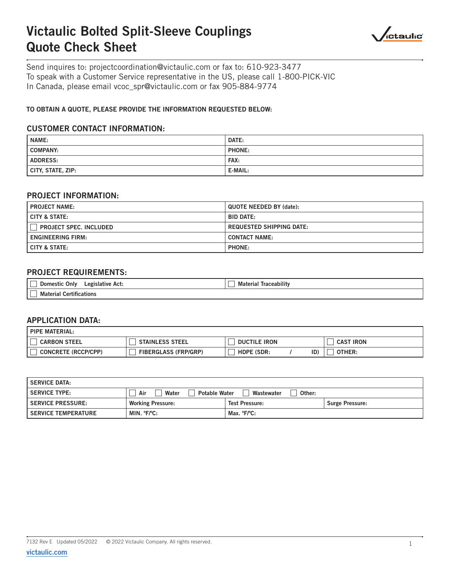# Victaulic Bolted Split-Sleeve Couplings Quote Check Sheet



Send inquires to: projectcoordination@victaulic.com or fax to: 610-923-3477 To speak with a Customer Service representative in the US, please call 1-800-PICK-VIC In Canada, please email vcoc\_spr@victaulic.com or fax 905-884-9774

## TO OBTAIN A QUOTE, PLEASE PROVIDE THE INFORMATION REQUESTED BELOW:

## CUSTOMER CONTACT INFORMATION:

| <b>NAME:</b>      | DATE:         |
|-------------------|---------------|
| COMPANY:          | <b>PHONE:</b> |
| <b>ADDRESS:</b>   | FAX:          |
| CITY, STATE, ZIP: | E-MAIL:       |

## PROJECT INFORMATION:

| <b>PROJECT NAME:</b>          | <b>QUOTE NEEDED BY (date):</b>  |  |
|-------------------------------|---------------------------------|--|
| I CITY & STATE:               | <b>BID DATE:</b>                |  |
| <b>PROJECT SPEC. INCLUDED</b> | <b>REQUESTED SHIPPING DATE:</b> |  |
| <b>ENGINEERING FIRM:</b>      | <b>CONTACT NAME:</b>            |  |
| I CITY & STATE:               | <b>PHONE:</b>                   |  |

## PROJECT REQUIREMENTS:

| Only<br>Legislative Act:<br>Domestic<br>. ــــا        | __<br>.<br>Traceabilit<br>material |
|--------------------------------------------------------|------------------------------------|
| $\sim$ $\sim$<br>`ດຟ<br>tifications<br>Material<br>' — |                                    |

#### APPLICATION DATA:

| I PIPE MATERIAL:           |                             |                          |                            |
|----------------------------|-----------------------------|--------------------------|----------------------------|
| <b>CARBON STEEL</b>        | <b>STAINLESS STEEL</b>      | <b>DUCTILE IRON</b>      | <b>IRON</b><br><b>CAST</b> |
| <b>CONCRETE (RCCP/CPP)</b> | <b>FIBERGLASS (FRP/GRP)</b> | ID)<br><b>HDPE (SDR:</b> | OTHER:                     |

| <b>SERVICE DATA:</b>       |                                      |                       |                        |  |  |
|----------------------------|--------------------------------------|-----------------------|------------------------|--|--|
| <b>SERVICE TYPE:</b>       | <b>Potable Water</b><br>Air<br>Water | Wastewater<br>Other:  |                        |  |  |
| <b>SERVICE PRESSURE:</b>   | <b>Working Pressure:</b>             | <b>Test Pressure:</b> | <b>Surge Pressure:</b> |  |  |
| <b>SERVICE TEMPERATURE</b> | MIN. °F/°C:                          | Max. °F/°C:           |                        |  |  |